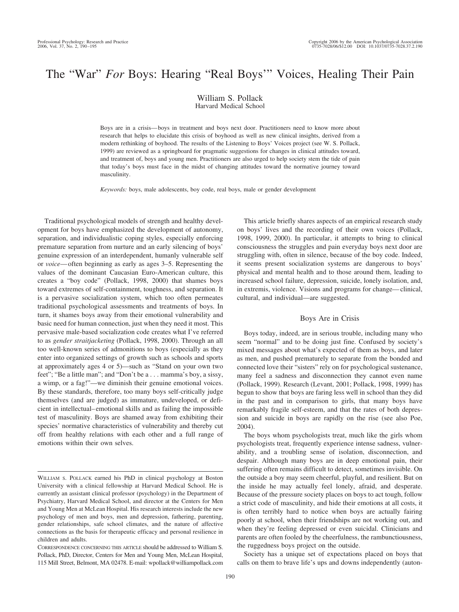# The "War" *For* Boys: Hearing "Real Boys'" Voices, Healing Their Pain

### William S. Pollack Harvard Medical School

Boys are in a crisis— boys in treatment and boys next door. Practitioners need to know more about research that helps to elucidate this crisis of boyhood as well as new clinical insights, derived from a modern rethinking of boyhood. The results of the Listening to Boys' Voices project (see W. S. Pollack, 1999) are reviewed as a springboard for pragmatic suggestions for changes in clinical attitudes toward, and treatment of, boys and young men. Practitioners are also urged to help society stem the tide of pain that today's boys must face in the midst of changing attitudes toward the normative journey toward masculinity.

*Keywords:* boys, male adolescents, boy code, real boys, male or gender development

Traditional psychological models of strength and healthy development for boys have emphasized the development of autonomy, separation, and individualistic coping styles, especially enforcing premature separation from nurture and an early silencing of boys' genuine expression of an interdependent, humanly vulnerable self or *voice*— often beginning as early as ages 3–5. Representing the values of the dominant Caucasian Euro-American culture, this creates a "boy code" (Pollack, 1998, 2000) that shames boys toward extremes of self-containment, toughness, and separation. It is a pervasive socialization system, which too often permeates traditional psychological assessments and treatments of boys. In turn, it shames boys away from their emotional vulnerability and basic need for human connection, just when they need it most. This pervasive male-based socialization code creates what I've referred to as *gender straitjacketing* (Pollack, 1998, 2000). Through an all too well-known series of admonitions to boys (especially as they enter into organized settings of growth such as schools and sports at approximately ages 4 or 5)—such as "Stand on your own two feet"; "Be a little man"; and "Don't be a . . . mamma's boy, a sissy, a wimp, or a fag!"—we diminish their genuine emotional voices. By these standards, therefore, too many boys self-critically judge themselves (and are judged) as immature, undeveloped, or deficient in intellectual– emotional skills and as failing the impossible test of masculinity. Boys are shamed away from exhibiting their species' normative characteristics of vulnerability and thereby cut off from healthy relations with each other and a full range of emotions within their own selves.

This article briefly shares aspects of an empirical research study on boys' lives and the recording of their own voices (Pollack, 1998, 1999, 2000). In particular, it attempts to bring to clinical consciousness the struggles and pain everyday boys next door are struggling with, often in silence, because of the boy code. Indeed, it seems present socialization systems are dangerous to boys' physical and mental health and to those around them, leading to increased school failure, depression, suicide, lonely isolation, and, in extremis, violence. Visions and programs for change— clinical, cultural, and individual—are suggested.

#### Boys Are in Crisis

Boys today, indeed, are in serious trouble, including many who seem "normal" and to be doing just fine. Confused by society's mixed messages about what's expected of them as boys, and later as men, and pushed prematurely to separate from the bonded and connected love their "sisters" rely on for psychological sustenance, many feel a sadness and disconnection they cannot even name (Pollack, 1999). Research (Levant, 2001; Pollack, 1998, 1999) has begun to show that boys are faring less well in school than they did in the past and in comparison to girls, that many boys have remarkably fragile self-esteem, and that the rates of both depression and suicide in boys are rapidly on the rise (see also Poe, 2004).

The boys whom psychologists treat, much like the girls whom psychologists treat, frequently experience intense sadness, vulnerability, and a troubling sense of isolation, disconnection, and despair. Although many boys are in deep emotional pain, their suffering often remains difficult to detect, sometimes invisible. On the outside a boy may seem cheerful, playful, and resilient. But on the inside he may actually feel lonely, afraid, and desperate. Because of the pressure society places on boys to act tough, follow a strict code of masculinity, and hide their emotions at all costs, it is often terribly hard to notice when boys are actually fairing poorly at school, when their friendships are not working out, and when they're feeling depressed or even suicidal. Clinicians and parents are often fooled by the cheerfulness, the rambunctiousness, the ruggedness boys project on the outside.

Society has a unique set of expectations placed on boys that calls on them to brave life's ups and downs independently (auton-

WILLIAM S. POLLACK earned his PhD in clinical psychology at Boston University with a clinical fellowship at Harvard Medical School. He is currently an assistant clinical professor (psychology) in the Department of Psychiatry, Harvard Medical School, and director at the Centers for Men and Young Men at McLean Hospital. His research interests include the new psychology of men and boys, men and depression, fathering, parenting, gender relationships, safe school climates, and the nature of affective connections as the basis for therapeutic efficacy and personal resilience in children and adults.

CORRESPONDENCE CONCERNING THIS ARTICLE should be addressed to William S. Pollack, PhD, Director, Centers for Men and Young Men, McLean Hospital, 115 Mill Street, Belmont, MA 02478. E-mail: wpollack@williampollack.com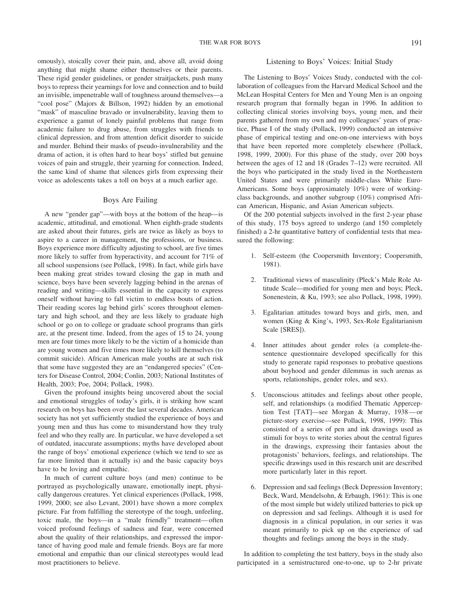omously), stoically cover their pain, and, above all, avoid doing anything that might shame either themselves or their parents. These rigid gender guidelines, or gender straitjackets, push many boys to repress their yearnings for love and connection and to build an invisible, impenetrable wall of toughness around themselves—a "cool pose" (Majors & Billson, 1992) hidden by an emotional "mask" of masculine bravado or invulnerability, leaving them to experience a gamut of lonely painful problems that range from academic failure to drug abuse, from struggles with friends to clinical depression, and from attention deficit disorder to suicide and murder. Behind their masks of pseudo-invulnerability and the drama of action, it is often hard to hear boys' stifled but genuine voices of pain and struggle, their yearning for connection. Indeed, the same kind of shame that silences girls from expressing their voice as adolescents takes a toll on boys at a much earlier age.

#### Boys Are Failing

A new "gender gap"—with boys at the bottom of the heap—is academic, attitudinal, and emotional. When eighth-grade students are asked about their futures, girls are twice as likely as boys to aspire to a career in management, the professions, or business. Boys experience more difficulty adjusting to school, are five times more likely to suffer from hyperactivity, and account for 71% of all school suspensions (see Pollack, 1998). In fact, while girls have been making great strides toward closing the gap in math and science, boys have been severely lagging behind in the arenas of reading and writing—skills essential in the capacity to express oneself without having to fall victim to endless bouts of action. Their reading scores lag behind girls' scores throughout elementary and high school, and they are less likely to graduate high school or go on to college or graduate school programs than girls are, at the present time. Indeed, from the ages of 15 to 24, young men are four times more likely to be the victim of a homicide than are young women and five times more likely to kill themselves (to commit suicide). African American male youths are at such risk that some have suggested they are an "endangered species" (Centers for Disease Control, 2004; Conlin, 2003; National Institutes of Health, 2003; Poe, 2004; Pollack, 1998).

Given the profound insights being uncovered about the social and emotional struggles of today's girls, it is striking how scant research on boys has been over the last several decades. American society has not yet sufficiently studied the experience of boys and young men and thus has come to misunderstand how they truly feel and who they really are. In particular, we have developed a set of outdated, inaccurate assumptions; myths have developed about the range of boys' emotional experience (which we tend to see as far more limited than it actually is) and the basic capacity boys have to be loving and empathic.

In much of current culture boys (and men) continue to be portrayed as psychologically unaware, emotionally inept, physically dangerous creatures. Yet clinical experiences (Pollack, 1998, 1999, 2000; see also Levant, 2001) have shown a more complex picture. Far from fulfilling the stereotype of the tough, unfeeling, toxic male, the boys—in a "male friendly" treatment— often voiced profound feelings of sadness and fear, were concerned about the quality of their relationships, and expressed the importance of having good male and female friends. Boys are far more emotional and empathic than our clinical stereotypes would lead most practitioners to believe.

#### Listening to Boys' Voices: Initial Study

The Listening to Boys' Voices Study, conducted with the collaboration of colleagues from the Harvard Medical School and the McLean Hospital Centers for Men and Young Men is an ongoing research program that formally began in 1996. In addition to collecting clinical stories involving boys, young men, and their parents gathered from my own and my colleagues' years of practice, Phase I of the study (Pollack, 1999) conducted an intensive phase of empirical testing and one-on-one interviews with boys that have been reported more completely elsewhere (Pollack, 1998, 1999, 2000). For this phase of the study, over 200 boys between the ages of 12 and 18 (Grades 7–12) were recruited. All the boys who participated in the study lived in the Northeastern United States and were primarily middle-class White Euro-Americans. Some boys (approximately 10%) were of workingclass backgrounds, and another subgroup (10%) comprised African American, Hispanic, and Asian American subjects.

Of the 200 potential subjects involved in the first 2-year phase of this study, 175 boys agreed to undergo (and 150 completely finished) a 2-hr quantitative battery of confidential tests that measured the following:

- 1. Self-esteem (the Coopersmith Inventory; Coopersmith, 1981).
- 2. Traditional views of masculinity (Pleck's Male Role Attitude Scale—modified for young men and boys; Pleck, Sonenestein, & Ku, 1993; see also Pollack, 1998, 1999).
- 3. Egalitarian attitudes toward boys and girls, men, and women (King & King's, 1993, Sex-Role Egalitarianism Scale [SRES]).
- 4. Inner attitudes about gender roles (a complete-thesentence questionnaire developed specifically for this study to generate rapid responses to probative questions about boyhood and gender dilemmas in such arenas as sports, relationships, gender roles, and sex).
- 5. Unconscious attitudes and feelings about other people, self, and relationships (a modified Thematic Apperception Test [TAT]—see Morgan & Murray, 1938— or picture-story exercise—see Pollack, 1998, 1999): This consisted of a series of pen and ink drawings used as stimuli for boys to write stories about the central figures in the drawings, expressing their fantasies about the protagonists' behaviors, feelings, and relationships. The specific drawings used in this research unit are described more particularly later in this report.
- 6. Depression and sad feelings (Beck Depression Inventory; Beck, Ward, Mendelsohn, & Erbaugh, 1961): This is one of the most simple but widely utilized batteries to pick up on depression and sad feelings. Although it is used for diagnosis in a clinical population, in our series it was meant primarily to pick up on the experience of sad thoughts and feelings among the boys in the study.

In addition to completing the test battery, boys in the study also participated in a semistructured one-to-one, up to 2-hr private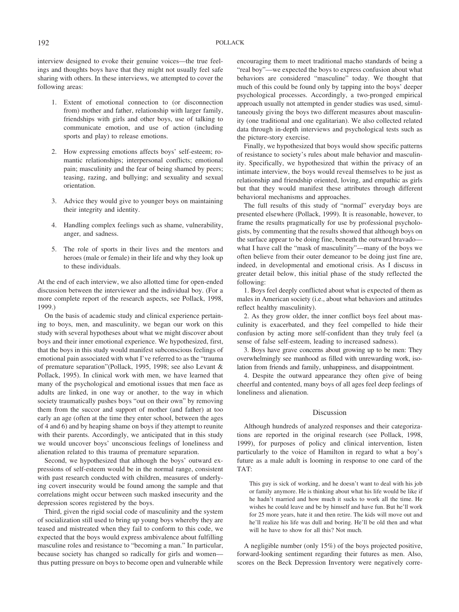interview designed to evoke their genuine voices—the true feelings and thoughts boys have that they might not usually feel safe sharing with others. In these interviews, we attempted to cover the following areas:

- 1. Extent of emotional connection to (or disconnection from) mother and father, relationship with larger family, friendships with girls and other boys, use of talking to communicate emotion, and use of action (including sports and play) to release emotions.
- 2. How expressing emotions affects boys' self-esteem; romantic relationships; interpersonal conflicts; emotional pain; masculinity and the fear of being shamed by peers; teasing, razing, and bullying; and sexuality and sexual orientation.
- 3. Advice they would give to younger boys on maintaining their integrity and identity.
- 4. Handling complex feelings such as shame, vulnerability, anger, and sadness.
- 5. The role of sports in their lives and the mentors and heroes (male or female) in their life and why they look up to these individuals.

At the end of each interview, we also allotted time for open-ended discussion between the interviewer and the individual boy. (For a more complete report of the research aspects, see Pollack, 1998, 1999.)

On the basis of academic study and clinical experience pertaining to boys, men, and masculinity, we began our work on this study with several hypotheses about what we might discover about boys and their inner emotional experience. We hypothesized, first, that the boys in this study would manifest subconscious feelings of emotional pain associated with what I've referred to as the "trauma of premature separation"(Pollack, 1995, 1998; see also Levant & Pollack, 1995). In clinical work with men, we have learned that many of the psychological and emotional issues that men face as adults are linked, in one way or another, to the way in which society traumatically pushes boys "out on their own" by removing them from the succor and support of mother (and father) at too early an age (often at the time they enter school, between the ages of 4 and 6) and by heaping shame on boys if they attempt to reunite with their parents. Accordingly, we anticipated that in this study we would uncover boys' unconscious feelings of loneliness and alienation related to this trauma of premature separation.

Second, we hypothesized that although the boys' outward expressions of self-esteem would be in the normal range, consistent with past research conducted with children, measures of underlying covert insecurity would be found among the sample and that correlations might occur between such masked insecurity and the depression scores registered by the boys.

Third, given the rigid social code of masculinity and the system of socialization still used to bring up young boys whereby they are teased and mistreated when they fail to conform to this code, we expected that the boys would express ambivalence about fulfilling masculine roles and resistance to "becoming a man." In particular, because society has changed so radically for girls and women thus putting pressure on boys to become open and vulnerable while encouraging them to meet traditional macho standards of being a "real boy"—we expected the boys to express confusion about what behaviors are considered "masculine" today. We thought that much of this could be found only by tapping into the boys' deeper psychological processes. Accordingly, a two-pronged empirical approach usually not attempted in gender studies was used, simultaneously giving the boys two different measures about masculinity (one traditional and one egalitarian). We also collected related data through in-depth interviews and psychological tests such as the picture-story exercise.

Finally, we hypothesized that boys would show specific patterns of resistance to society's rules about male behavior and masculinity. Specifically, we hypothesized that within the privacy of an intimate interview, the boys would reveal themselves to be just as relationship and friendship oriented, loving, and empathic as girls but that they would manifest these attributes through different behavioral mechanisms and approaches.

The full results of this study of "normal" everyday boys are presented elsewhere (Pollack, 1999). It is reasonable, however, to frame the results pragmatically for use by professional psychologists, by commenting that the results showed that although boys on the surface appear to be doing fine, beneath the outward bravado what I have call the "mask of masculinity"—many of the boys we often believe from their outer demeanor to be doing just fine are, indeed, in developmental and emotional crisis. As I discuss in greater detail below, this initial phase of the study reflected the following:

1. Boys feel deeply conflicted about what is expected of them as males in American society (i.e., about what behaviors and attitudes reflect healthy masculinity).

2. As they grow older, the inner conflict boys feel about masculinity is exacerbated, and they feel compelled to hide their confusion by acting more self-confident than they truly feel (a sense of false self-esteem, leading to increased sadness).

3. Boys have grave concerns about growing up to be men: They overwhelmingly see manhood as filled with unrewarding work, isolation from friends and family, unhappiness, and disappointment.

4. Despite the outward appearance they often give of being cheerful and contented, many boys of all ages feel deep feelings of loneliness and alienation.

## Discussion

Although hundreds of analyzed responses and their categorizations are reported in the original research (see Pollack, 1998, 1999), for purposes of policy and clinical intervention, listen particularly to the voice of Hamilton in regard to what a boy's future as a male adult is looming in response to one card of the TAT:

This guy is sick of working, and he doesn't want to deal with his job or family anymore. He is thinking about what his life would be like if he hadn't married and how much it sucks to work all the time. He wishes he could leave and be by himself and have fun. But he'll work for 25 more years, hate it and then retire. The kids will move out and he'll realize his life was dull and boring. He'll be old then and what will he have to show for all this? Not much.

A negligible number (only 15%) of the boys projected positive, forward-looking sentiment regarding their futures as men. Also, scores on the Beck Depression Inventory were negatively corre-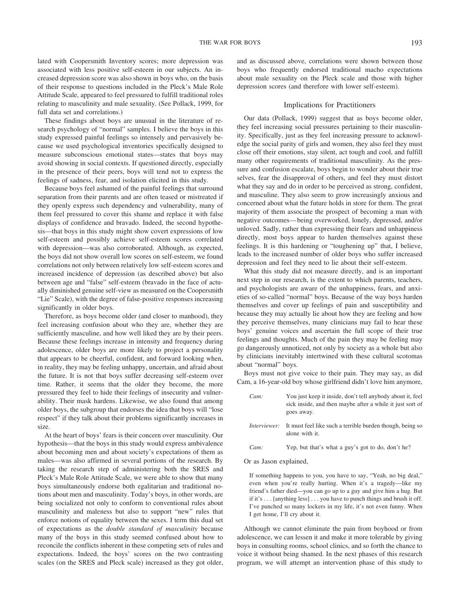lated with Coopersmith Inventory scores; more depression was associated with less positive self-esteem in our subjects. An increased depression score was also shown in boys who, on the basis of their response to questions included in the Pleck's Male Role Attitude Scale, appeared to feel pressured to fulfill traditional roles relating to masculinity and male sexuality. (See Pollack, 1999, for full data set and correlations.)

These findings about boys are unusual in the literature of research psychology of "normal" samples. I believe the boys in this study expressed painful feelings so intensely and pervasively because we used psychological inventories specifically designed to measure subconscious emotional states—states that boys may avoid showing in social contexts. If questioned directly, especially in the presence of their peers, boys will tend not to express the feelings of sadness, fear, and isolation elicited in this study.

Because boys feel ashamed of the painful feelings that surround separation from their parents and are often teased or mistreated if they openly express such dependency and vulnerability, many of them feel pressured to cover this shame and replace it with false displays of confidence and bravado. Indeed, the second hypothesis—that boys in this study might show covert expressions of low self-esteem and possibly achieve self-esteem scores correlated with depression—was also corroborated. Although, as expected, the boys did not show overall low scores on self-esteem, we found correlations not only between relatively low self-esteem scores and increased incidence of depression (as described above) but also between age and "false" self-esteem (bravado in the face of actually diminished genuine self-view as measured on the Coopersmith "Lie" Scale), with the degree of false-positive responses increasing significantly in older boys.

Therefore, as boys become older (and closer to manhood), they feel increasing confusion about who they are, whether they are sufficiently masculine, and how well liked they are by their peers. Because these feelings increase in intensity and frequency during adolescence, older boys are more likely to project a personality that appears to be cheerful, confident, and forward looking when, in reality, they may be feeling unhappy, uncertain, and afraid about the future. It is not that boys suffer decreasing self-esteem over time. Rather, it seems that the older they become, the more pressured they feel to hide their feelings of insecurity and vulnerability. Their mask hardens. Likewise, we also found that among older boys, the subgroup that endorses the idea that boys will "lose respect" if they talk about their problems significantly increases in size.

At the heart of boys' fears is their concern over masculinity. Our hypothesis—that the boys in this study would express ambivalence about becoming men and about society's expectations of them as males—was also affirmed in several portions of the research. By taking the research step of administering both the SRES and Pleck's Male Role Attitude Scale, we were able to show that many boys simultaneously endorse both egalitarian and traditional notions about men and masculinity. Today's boys, in other words, are being socialized not only to conform to conventional rules about masculinity and maleness but also to support "new" rules that enforce notions of equality between the sexes. I term this dual set of expectations as the *double standard of masculinity* because many of the boys in this study seemed confused about how to reconcile the conflicts inherent in these competing sets of rules and expectations. Indeed, the boys' scores on the two contrasting scales (on the SRES and Pleck scale) increased as they got older,

and as discussed above, correlations were shown between those boys who frequently endorsed traditional macho expectations about male sexuality on the Pleck scale and those with higher depression scores (and therefore with lower self-esteem).

#### Implications for Practitioners

Our data (Pollack, 1999) suggest that as boys become older, they feel increasing social pressures pertaining to their masculinity. Specifically, just as they feel increasing pressure to acknowledge the social parity of girls and women, they also feel they must close off their emotions, stay silent, act tough and cool, and fulfill many other requirements of traditional masculinity. As the pressure and confusion escalate, boys begin to wonder about their true selves, fear the disapproval of others, and feel they must distort what they say and do in order to be perceived as strong, confident, and masculine. They also seem to grow increasingly anxious and concerned about what the future holds in store for them. The great majority of them associate the prospect of becoming a man with negative outcomes— being overworked, lonely, depressed, and/or unloved. Sadly, rather than expressing their fears and unhappiness directly, most boys appear to harden themselves against these feelings. It is this hardening or "toughening up" that, I believe, leads to the increased number of older boys who suffer increased depression and feel they need to lie about their self-esteem.

What this study did not measure directly, and is an important next step in our research, is the extent to which parents, teachers, and psychologists are aware of the unhappiness, fears, and anxieties of so-called "normal" boys. Because of the way boys harden themselves and cover up feelings of pain and susceptibility and because they may actually lie about how they are feeling and how they perceive themselves, many clinicians may fail to hear these boys' genuine voices and ascertain the full scope of their true feelings and thoughts. Much of the pain they may be feeling may go dangerously unnoticed, not only by society as a whole but also by clinicians inevitably intertwined with these cultural scotomas about "normal" boys.

Boys must not give voice to their pain. They may say, as did Cam, a 16-year-old boy whose girlfriend didn't love him anymore,

| Cam: | You just keep it inside, don't tell anybody about it, feel |
|------|------------------------------------------------------------|
|      | sick inside, and then maybe after a while it just sort of  |
|      | goes away.                                                 |

*Interviewer:* It must feel like such a terrible burden though, being so alone with it.

*Cam:* Yep, but that's what a guy's got to do, don't he?

Or as Jason explained,

If something happens to you, you have to say, "Yeah, no big deal," even when you're really hurting. When it's a tragedy—like my friend's father died—you can go up to a guy and give him a hug. But if it's . . . [anything less] . . . you have to punch things and brush it off. I've punched so many lockers in my life, it's not even funny. When I get home, I'll cry about it.

Although we cannot eliminate the pain from boyhood or from adolescence, we can lessen it and make it more tolerable by giving boys in consulting rooms, school clinics, and so forth the chance to voice it without being shamed. In the next phases of this research program, we will attempt an intervention phase of this study to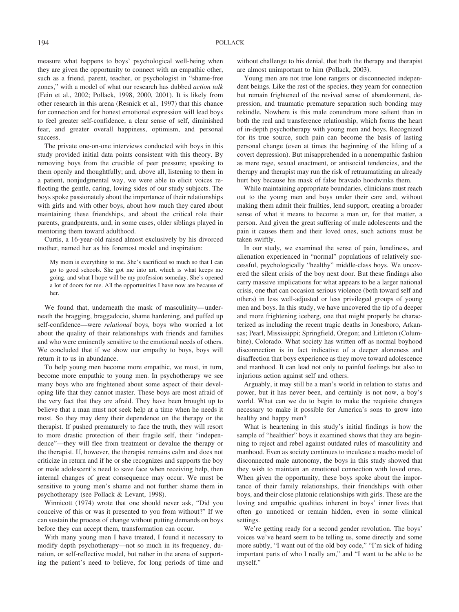measure what happens to boys' psychological well-being when they are given the opportunity to connect with an empathic other, such as a friend, parent, teacher, or psychologist in "shame-free zones," with a model of what our research has dubbed *action talk* (Fein et al., 2002; Pollack, 1998, 2000, 2001). It is likely from other research in this arena (Resnick et al., 1997) that this chance for connection and for honest emotional expression will lead boys to feel greater self-confidence, a clear sense of self, diminished fear, and greater overall happiness, optimism, and personal success.

The private one-on-one interviews conducted with boys in this study provided initial data points consistent with this theory. By removing boys from the crucible of peer pressure; speaking to them openly and thoughtfully; and, above all, listening to them in a patient, nonjudgmental way, we were able to elicit voices reflecting the gentle, caring, loving sides of our study subjects. The boys spoke passionately about the importance of their relationships with girls and with other boys, about how much they cared about maintaining these friendships, and about the critical role their parents, grandparents, and, in some cases, older siblings played in mentoring them toward adulthood.

Curtis, a 16-year-old raised almost exclusively by his divorced mother, named her as his foremost model and inspiration:

My mom is everything to me. She's sacrificed so much so that I can go to good schools. She got me into art, which is what keeps me going, and what I hope will be my profession someday. She's opened a lot of doors for me. All the opportunities I have now are because of her.

We found that, underneath the mask of masculinity— underneath the bragging, braggadocio, shame hardening, and puffed up self-confidence—were *relational* boys, boys who worried a lot about the quality of their relationships with friends and families and who were eminently sensitive to the emotional needs of others. We concluded that if we show our empathy to boys, boys will return it to us in abundance.

To help young men become more empathic, we must, in turn, become more empathic to young men. In psychotherapy we see many boys who are frightened about some aspect of their developing life that they cannot master. These boys are most afraid of the very fact that they are afraid. They have been brought up to believe that a man must not seek help at a time when he needs it most. So they may deny their dependence on the therapy or the therapist. If pushed prematurely to face the truth, they will resort to more drastic protection of their fragile self, their "independence"—they will flee from treatment or devalue the therapy or the therapist. If, however, the therapist remains calm and does not criticize in return and if he or she recognizes and supports the boy or male adolescent's need to save face when receiving help, then internal changes of great consequence may occur. We must be sensitive to young men's shame and not further shame them in psychotherapy (see Pollack & Levant, 1998).

Winnicott (1974) wrote that one should never ask, "Did you conceive of this or was it presented to you from without?" If we can sustain the process of change without putting demands on boys before they can accept them, transformation can occur.

With many young men I have treated, I found it necessary to modify depth psychotherapy—not so much in its frequency, duration, or self-reflective model, but rather in the arena of supporting the patient's need to believe, for long periods of time and without challenge to his denial, that both the therapy and therapist are almost unimportant to him (Pollack, 2003).

Young men are not true lone rangers or disconnected independent beings. Like the rest of the species, they yearn for connection but remain frightened of the revived sense of abandonment, depression, and traumatic premature separation such bonding may rekindle. Nowhere is this male conundrum more salient than in both the real and transference relationship, which forms the heart of in-depth psychotherapy with young men and boys. Recognized for its true source, such pain can become the basis of lasting personal change (even at times the beginning of the lifting of a covert depression). But misapprehended in a nonempathic fashion as mere rage, sexual enactment, or antisocial tendencies, and the therapy and therapist may run the risk of retraumatizing an already hurt boy because his mask of false bravado hoodwinks them.

While maintaining appropriate boundaries, clinicians must reach out to the young men and boys under their care and, without making them admit their frailties, lend support, creating a broader sense of what it means to become a man or, for that matter, a person. And given the great suffering of male adolescents and the pain it causes them and their loved ones, such actions must be taken swiftly.

In our study, we examined the sense of pain, loneliness, and alienation experienced in "normal" populations of relatively successful, psychologically "healthy" middle-class boys. We uncovered the silent crisis of the boy next door. But these findings also carry massive implications for what appears to be a larger national crisis, one that can occasion serious violence (both toward self and others) in less well-adjusted or less privileged groups of young men and boys. In this study, we have uncovered the tip of a deeper and more frightening iceberg, one that might properly be characterized as including the recent tragic deaths in Jonesboro, Arkansas; Pearl, Mississippi; Springfield, Oregon; and Littleton (Columbine), Colorado. What society has written off as normal boyhood disconnection is in fact indicative of a deeper aloneness and disaffection that boys experience as they move toward adolescence and manhood. It can lead not only to painful feelings but also to injurious action against self and others.

Arguably, it may still be a man's world in relation to status and power, but it has never been, and certainly is not now, a boy's world. What can we do to begin to make the requisite changes necessary to make it possible for America's sons to grow into healthy and happy men?

What is heartening in this study's initial findings is how the sample of "healthier" boys it examined shows that they are beginning to reject and rebel against outdated rules of masculinity and manhood. Even as society continues to inculcate a macho model of disconnected male autonomy, the boys in this study showed that they wish to maintain an emotional connection with loved ones. When given the opportunity, these boys spoke about the importance of their family relationships, their friendships with other boys, and their close platonic relationships with girls. These are the loving and empathic qualities inherent in boys' inner lives that often go unnoticed or remain hidden, even in some clinical settings.

We're getting ready for a second gender revolution. The boys' voices we've heard seem to be telling us, some directly and some more subtly, "I want out of the old boy code," "I'm sick of hiding important parts of who I really am," and "I want to be able to be myself."